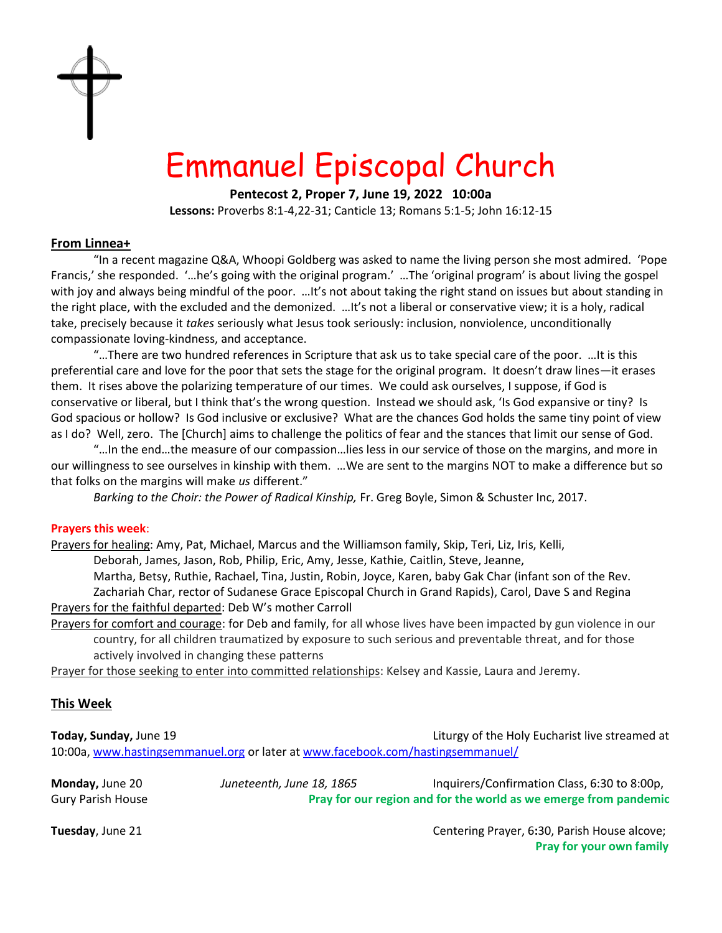

# Emmanuel Episcopal Church

**Pentecost 2, Proper 7, June 19, 2022 10:00a**

**Lessons:** Proverbs 8:1-4,22-31; Canticle 13; Romans 5:1-5; John 16:12-15

### **From Linnea+**

"In a recent magazine Q&A, Whoopi Goldberg was asked to name the living person she most admired. 'Pope Francis,' she responded. '…he's going with the original program.' …The 'original program' is about living the gospel with joy and always being mindful of the poor. ...It's not about taking the right stand on issues but about standing in the right place, with the excluded and the demonized. …It's not a liberal or conservative view; it is a holy, radical take, precisely because it *takes* seriously what Jesus took seriously: inclusion, nonviolence, unconditionally compassionate loving-kindness, and acceptance.

"…There are two hundred references in Scripture that ask us to take special care of the poor. …It is this preferential care and love for the poor that sets the stage for the original program. It doesn't draw lines—it erases them. It rises above the polarizing temperature of our times. We could ask ourselves, I suppose, if God is conservative or liberal, but I think that's the wrong question. Instead we should ask, 'Is God expansive or tiny? Is God spacious or hollow? Is God inclusive or exclusive? What are the chances God holds the same tiny point of view as I do? Well, zero. The [Church] aims to challenge the politics of fear and the stances that limit our sense of God.

"…In the end…the measure of our compassion…lies less in our service of those on the margins, and more in our willingness to see ourselves in kinship with them. …We are sent to the margins NOT to make a difference but so that folks on the margins will make *us* different."

*Barking to the Choir: the Power of Radical Kinship,* Fr. Greg Boyle, Simon & Schuster Inc, 2017.

#### **Prayers this week**:

Prayers for healing: Amy, Pat, Michael, Marcus and the Williamson family, Skip, Teri, Liz, Iris, Kelli, Deborah, James, Jason, Rob, Philip, Eric, Amy, Jesse, Kathie, Caitlin, Steve, Jeanne, Martha, Betsy, Ruthie, Rachael, Tina, Justin, Robin, Joyce, Karen, baby Gak Char (infant son of the Rev. Zachariah Char, rector of Sudanese Grace Episcopal Church in Grand Rapids), Carol, Dave S and Regina

Prayers for the faithful departed: Deb W's mother Carroll

Prayers for comfort and courage: for Deb and family, for all whose lives have been impacted by gun violence in our country, for all children traumatized by exposure to such serious and preventable threat, and for those actively involved in changing these patterns

Prayer for those seeking to enter into committed relationships: Kelsey and Kassie, Laura and Jeremy.

## **This Week**

**Today, Sunday, June 19** Liturgy of the Holy Eucharist live streamed at 10:00a, [www.hastingsemmanuel.org](http://www.hastingsemmanuel.org/) or later at [www.facebook.com/hastingsemmanuel/](http://www.facebook.com/hastingsemmanuel/) 

| <b>Monday, June 20</b> | Juneteenth, June 18, 1865                                        | Inquirers/Confirmation Class, 6:30 to 8:00p, |
|------------------------|------------------------------------------------------------------|----------------------------------------------|
| Gury Parish House      | Pray for our region and for the world as we emerge from pandemic |                                              |
|                        |                                                                  |                                              |

**Tuesday**, June 21 Centering Prayer, 6:30, Parish House alcove;  **Pray for your own family**